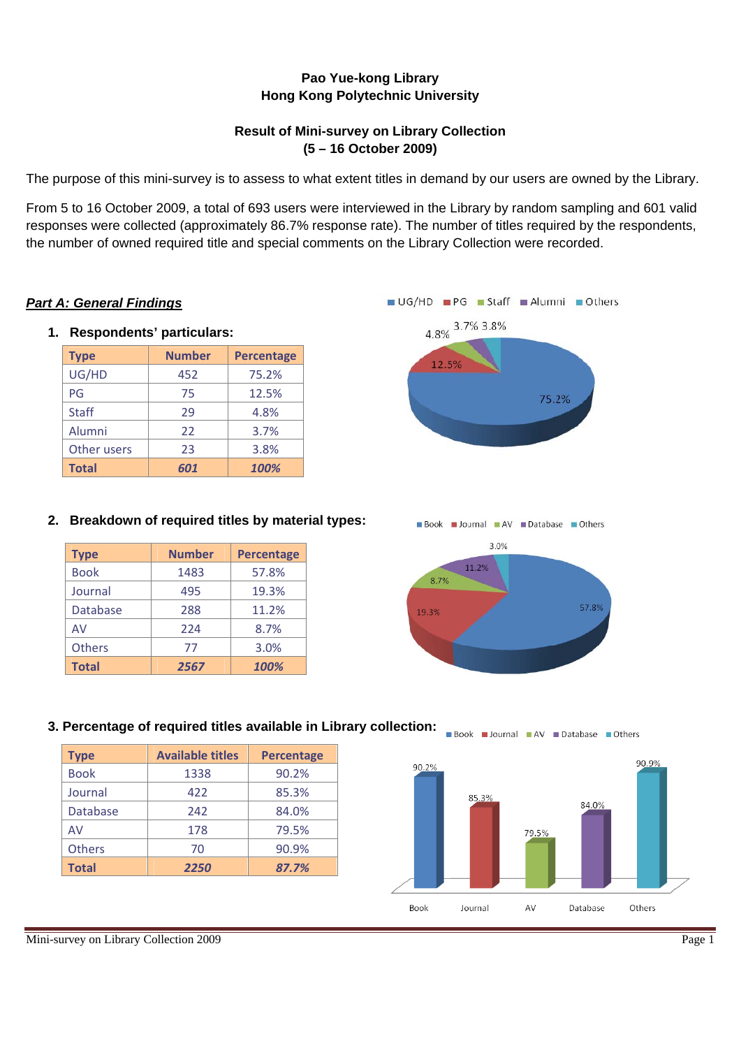## **Pao Yue-kong Library Hong Kong Polytechnic University**

## **Result of Mini-survey on Library Collection (5 – 16 October 2009)**

The purpose of this mini-survey is to assess to what extent titles in demand by our users are owned by the Library.

From 5 to 16 October 2009, a total of 693 users were interviewed in the Library by random sampling and 601 valid responses were collected (approximately 86.7% response rate). The number of titles required by the respondents, the number of owned required title and special comments on the Library Collection were recorded.

## *Part A: General Findings*

**1. Respondents' particulars:** 

| <b>Type</b>  | <b>Number</b> | <b>Percentage</b> |
|--------------|---------------|-------------------|
| UG/HD        | 452           | 75.2%             |
| PG           | 75            | 12.5%             |
| <b>Staff</b> | 29            | 4.8%              |
| Alumni       | 22            | 3.7%              |
| Other users  | 23            | 3.8%              |
| <b>Total</b> | 601           | 100%              |



## **2. Breakdown of required titles by material types:**

| <b>Type</b>     | <b>Number</b> | <b>Percentage</b> |
|-----------------|---------------|-------------------|
| <b>Book</b>     | 1483          | 57.8%             |
| Journal         | 495           | 19.3%             |
| <b>Database</b> | 288           | 11.2%             |
| AV              | 224           | 8.7%              |
| <b>Others</b>   | 77            | 3.0%              |
| <b>Total</b>    | 2567          | 100%              |





| <b>Type</b>     | <b>Available titles</b> | <b>Percentage</b> |
|-----------------|-------------------------|-------------------|
| <b>Book</b>     | 1338                    | 90.2%             |
|                 |                         |                   |
| Journal         | 422                     | 85.3%             |
| <b>Database</b> | 242                     | 84.0%             |
| AV              | 178                     | 79.5%             |
| <b>Others</b>   | 70                      | 90.9%             |
| <b>Total</b>    | 2250                    | 87.7%             |



## Mini-survey on Library Collection 2009 Page 1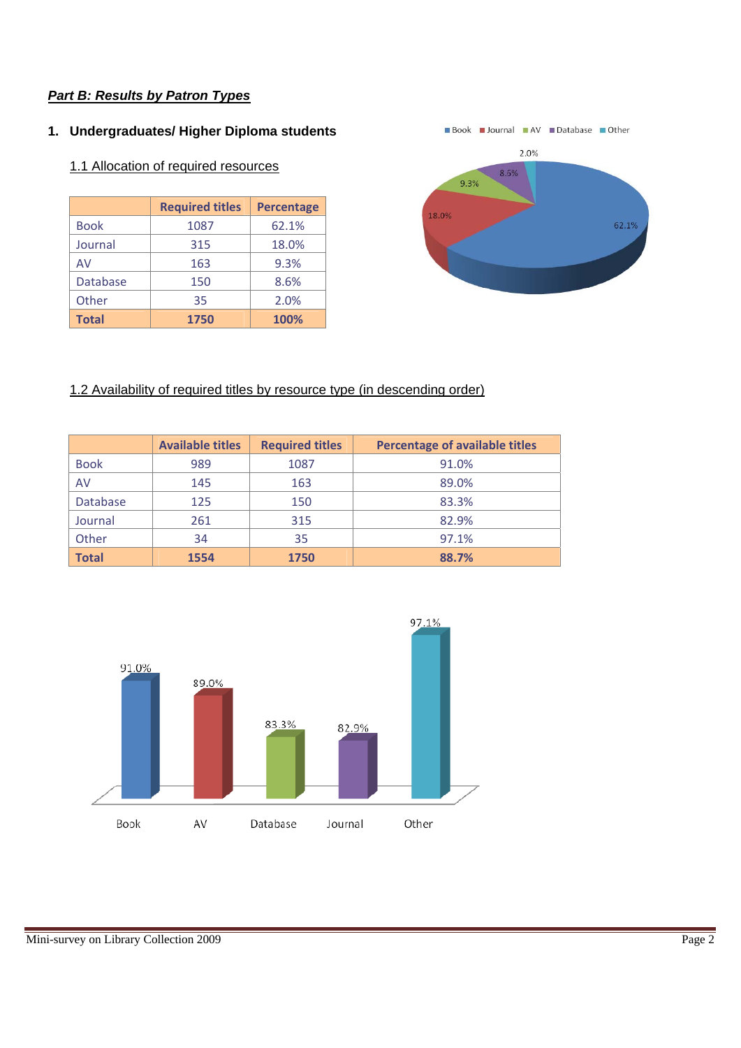### **1. Undergraduates/ Higher Diploma students**

### 1.1 Allocation of required resources

|                 | <b>Required titles</b> | <b>Percentage</b> |
|-----------------|------------------------|-------------------|
| <b>Book</b>     | 1087                   | 62.1%             |
| Journal         | 315                    | 18.0%             |
| AV              | 163                    | 9.3%              |
| <b>Database</b> | 150                    | 8.6%              |
| Other           | 35                     | 2.0%              |
| <b>Total</b>    | 1750                   | 100%              |



## 1.2 Availability of required titles by resource type (in descending order)

|                 | <b>Available titles</b> | <b>Required titles</b> | <b>Percentage of available titles</b> |
|-----------------|-------------------------|------------------------|---------------------------------------|
| <b>Book</b>     | 989                     | 1087                   | 91.0%                                 |
| AV              | 145                     | 163                    | 89.0%                                 |
| <b>Database</b> | 125                     | 150                    | 83.3%                                 |
| Journal         | 261                     | 315                    | 82.9%                                 |
| Other           | 34                      | 35                     | 97.1%                                 |
| <b>Total</b>    | 1554                    | 1750                   | 88.7%                                 |

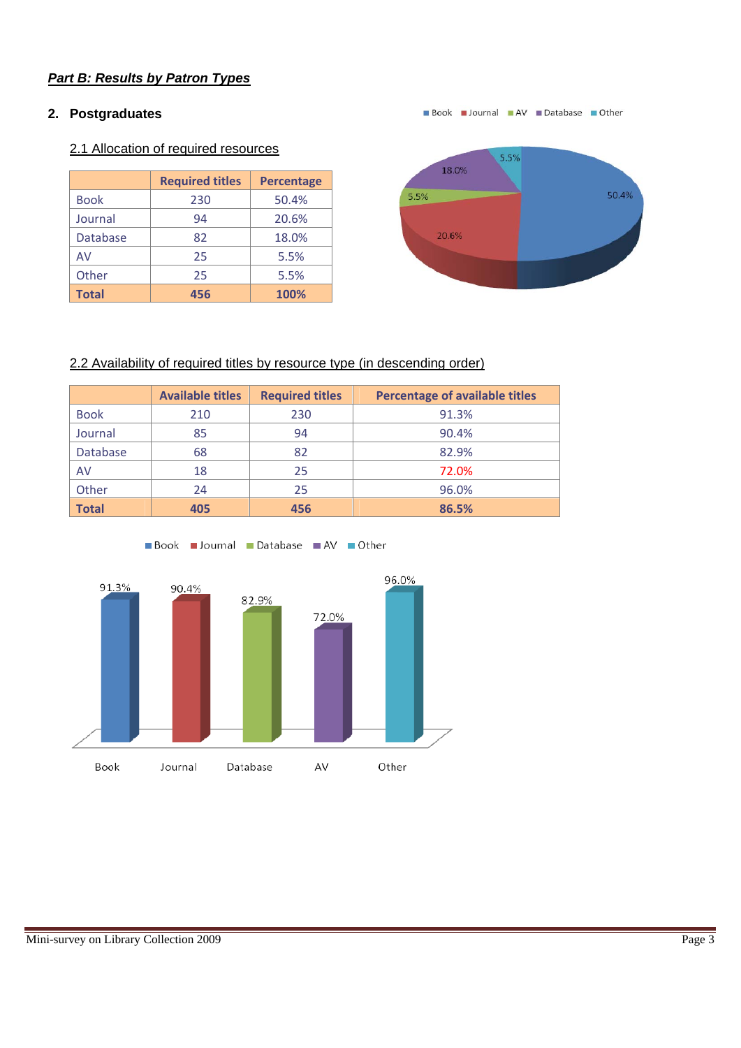# **2. Postgraduates**

## 2.1 Allocation of required resources

|                 | <b>Required titles</b> | <b>Percentage</b> |
|-----------------|------------------------|-------------------|
| <b>Book</b>     | 230                    | 50.4%             |
| Journal         | 94                     | 20.6%             |
| <b>Database</b> | 82                     | 18.0%             |
| AV              | 25                     | 5.5%              |
| Other           | 25                     | 5.5%              |
| <b>Total</b>    | 456                    | 100%              |



Book Journal AV Database Other

### 2.2 Availability of required titles by resource type (in descending order)

|                 | <b>Available titles</b> | <b>Required titles</b> | <b>Percentage of available titles</b> |
|-----------------|-------------------------|------------------------|---------------------------------------|
| <b>Book</b>     | 210                     | 230                    | 91.3%                                 |
| Journal         | 85                      | 94                     | 90.4%                                 |
| <b>Database</b> | 68                      | 82                     | 82.9%                                 |
| AV              | 18                      | 25                     | 72.0%                                 |
| Other           | 24                      | 25                     | 96.0%                                 |
| <b>Total</b>    | 405                     | 456                    | 86.5%                                 |



Book Journal Database AV Other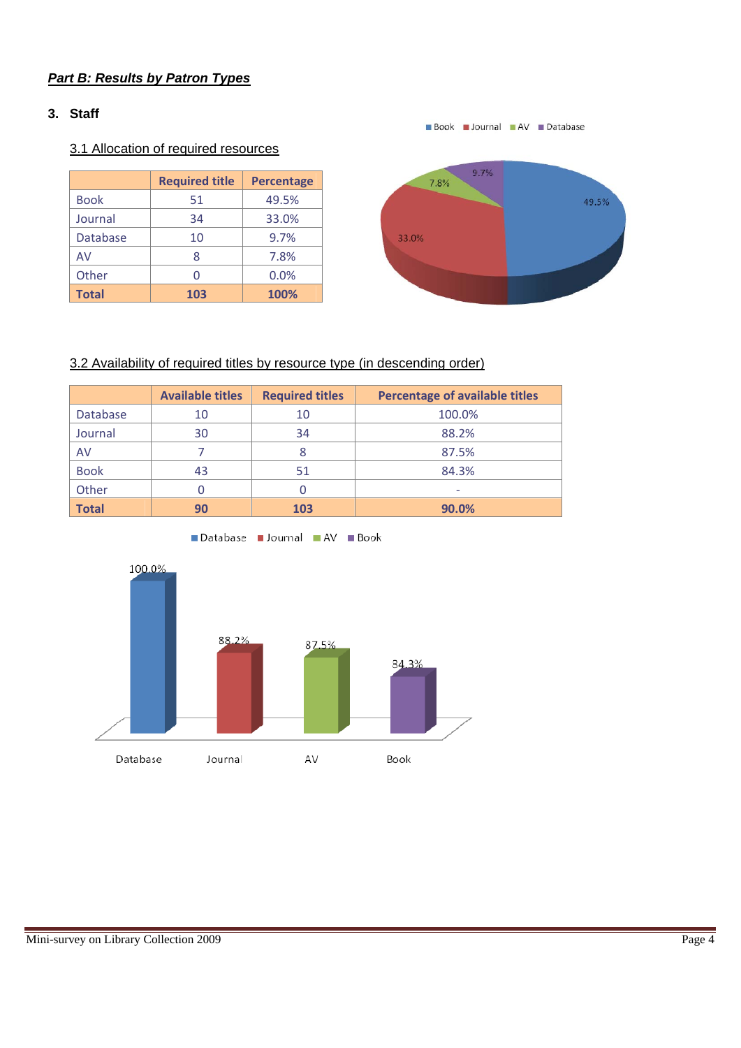## **3. Staff**

# 3.1 Allocation of required resources

|                 | <b>Required title</b> | <b>Percentage</b> |
|-----------------|-----------------------|-------------------|
| <b>Book</b>     | 51                    | 49.5%             |
| Journal         | 34                    | 33.0%             |
| <b>Database</b> | 10                    | 9.7%              |
| AV              | ጸ                     | 7.8%              |
| Other           |                       | 0.0%              |
| <b>Total</b>    | 103                   | 100%              |



Book Journal AV Database

# 3.2 Availability of required titles by resource type (in descending order)

|              | <b>Available titles</b> | <b>Required titles</b> | <b>Percentage of available titles</b> |
|--------------|-------------------------|------------------------|---------------------------------------|
| Database     | 10                      | 10                     | 100.0%                                |
| Journal      | 30                      | 34                     | 88.2%                                 |
| AV           |                         |                        | 87.5%                                 |
| <b>Book</b>  | 43                      | 51                     | 84.3%                                 |
| Other        |                         |                        |                                       |
| <b>Total</b> | 90                      | 103                    | 90.0%                                 |



Database Journal AV Book

### Mini-survey on Library Collection 2009 Page 4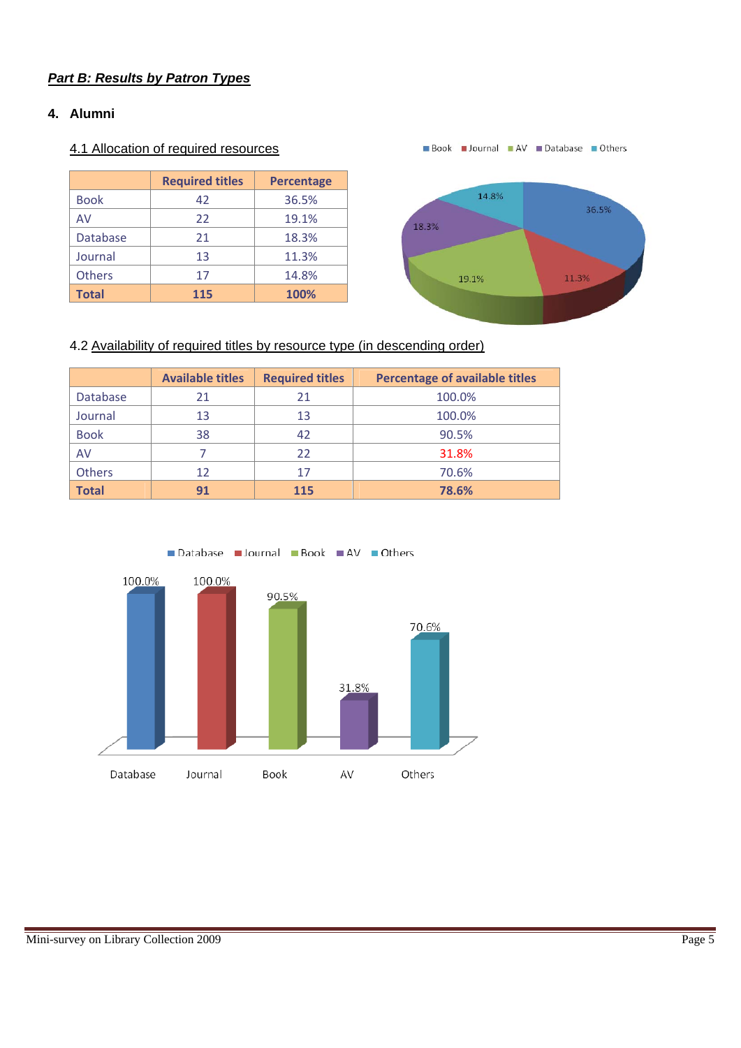#### **4. Alumni**

### 4.1 Allocation of required resources

|                 | <b>Required titles</b> | <b>Percentage</b> |
|-----------------|------------------------|-------------------|
| <b>Book</b>     | 42                     | 36.5%             |
| AV              | 22                     | 19.1%             |
| <b>Database</b> | 21                     | 18.3%             |
| Journal         | 13                     | 11.3%             |
| Others          | 17                     | 14.8%             |
| <b>Total</b>    | 115                    | 100%              |

Book Journal AV Database Others



## 4.2 Availability of required titles by resource type (in descending order)

|                 | <b>Available titles</b> | <b>Required titles</b> | <b>Percentage of available titles</b> |
|-----------------|-------------------------|------------------------|---------------------------------------|
| <b>Database</b> | 21                      | 21                     | 100.0%                                |
| Journal         | 13                      | 13                     | 100.0%                                |
| <b>Book</b>     | 38                      | 42                     | 90.5%                                 |
| AV              |                         | 22                     | 31.8%                                 |
| Others          | 12                      | 17                     | 70.6%                                 |
| <b>Total</b>    | 91                      | 115                    | 78.6%                                 |

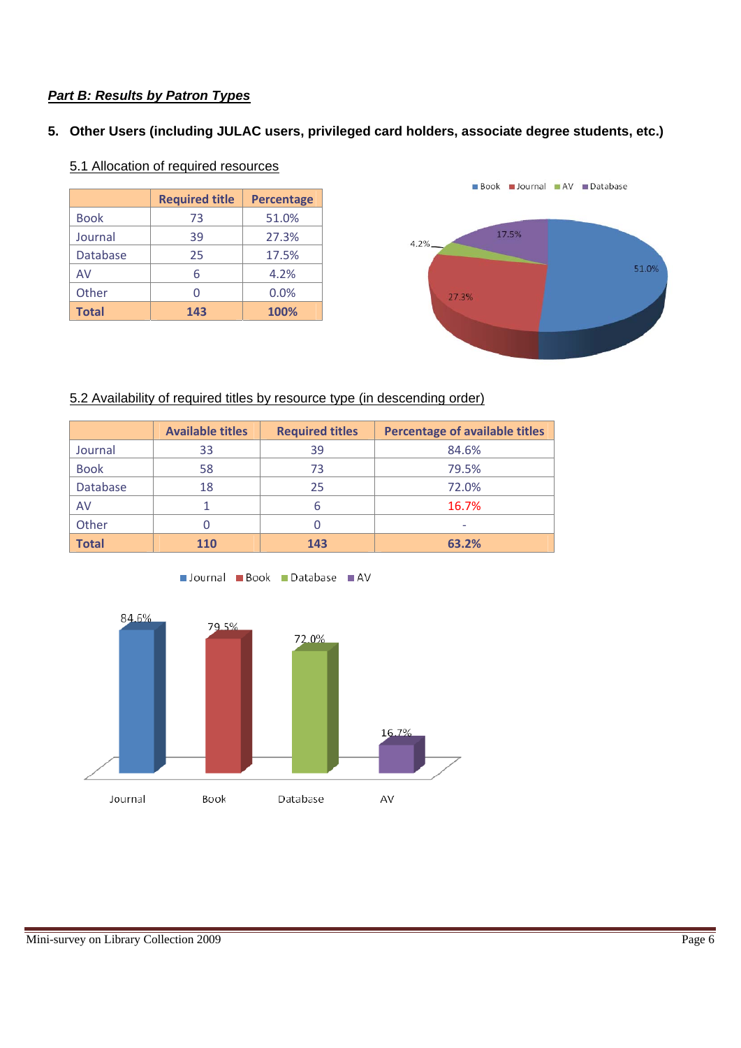### **5. Other Users (including JULAC users, privileged card holders, associate degree students, etc.)**

|                 | <b>Required title</b> | <b>Percentage</b> |
|-----------------|-----------------------|-------------------|
| <b>Book</b>     | 73                    | 51.0%             |
| Journal         | 39                    | 27.3%             |
| <b>Database</b> | 25                    | 17.5%             |
| AV              | 6                     | 4.2%              |
| Other           |                       | 0.0%              |
| <b>Total</b>    | 143                   | 100%              |

## 5.1 Allocation of required resources



### 5.2 Availability of required titles by resource type (in descending order)

|              | <b>Available titles</b> | <b>Required titles</b> | <b>Percentage of available titles</b> |
|--------------|-------------------------|------------------------|---------------------------------------|
| Journal      | 33                      | 39                     | 84.6%                                 |
| <b>Book</b>  | 58                      | 73                     | 79.5%                                 |
| Database     | 18                      | 25                     | 72.0%                                 |
| AV           |                         | 6                      | 16.7%                                 |
| Other        |                         |                        | -                                     |
| <b>Total</b> | 110                     | 143                    | 63.2%                                 |



Journal Book Database AV

#### Mini-survey on Library Collection 2009 Page 6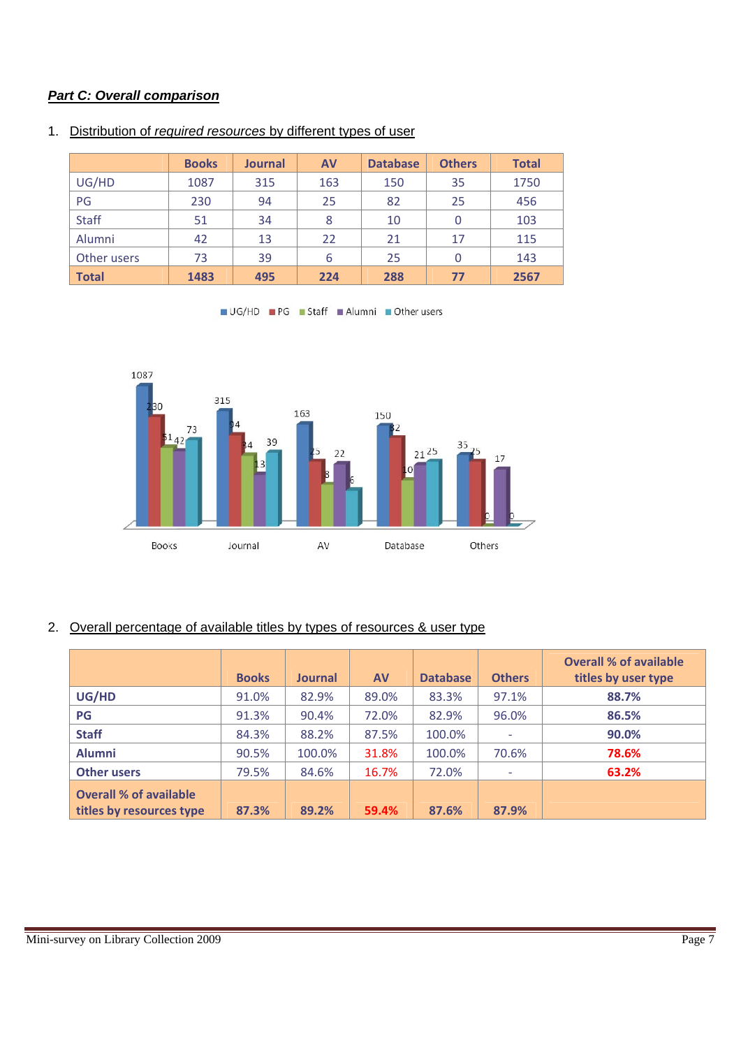## *Part C: Overall comparison*

|              | <b>Books</b> | <b>Journal</b> | <b>AV</b> | <b>Database</b> | <b>Others</b> | <b>Total</b> |
|--------------|--------------|----------------|-----------|-----------------|---------------|--------------|
| UG/HD        | 1087         | 315            | 163       | 150             | 35            | 1750         |
| PG           | 230          | 94             | 25        | 82              | 25            | 456          |
| <b>Staff</b> | 51           | 34             | 8         | 10              | 0             | 103          |
| Alumni       | 42           | 13             | 22        | 21              | 17            | 115          |
| Other users  | 73           | 39             | 6         | 25              | $\Omega$      | 143          |
| <b>Total</b> | 1483         | 495            | 224       | 288             | 77            | 2567         |

#### 1. Distribution of *required resources* by different types of user





# 2. Overall percentage of available titles by types of resources & user type

|                                                           | <b>Books</b> | <b>Journal</b> | <b>AV</b> | <b>Database</b> | <b>Others</b> | <b>Overall % of available</b><br>titles by user type |
|-----------------------------------------------------------|--------------|----------------|-----------|-----------------|---------------|------------------------------------------------------|
| UG/HD                                                     | 91.0%        | 82.9%          | 89.0%     | 83.3%           | 97.1%         | 88.7%                                                |
| PG                                                        | 91.3%        | 90.4%          | 72.0%     | 82.9%           | 96.0%         | 86.5%                                                |
| <b>Staff</b>                                              | 84.3%        | 88.2%          | 87.5%     | 100.0%          |               | 90.0%                                                |
| <b>Alumni</b>                                             | 90.5%        | 100.0%         | 31.8%     | 100.0%          | 70.6%         | 78.6%                                                |
| <b>Other users</b>                                        | 79.5%        | 84.6%          | 16.7%     | 72.0%           |               | 63.2%                                                |
| <b>Overall % of available</b><br>titles by resources type | 87.3%        | 89.2%          | 59.4%     | 87.6%           | 87.9%         |                                                      |